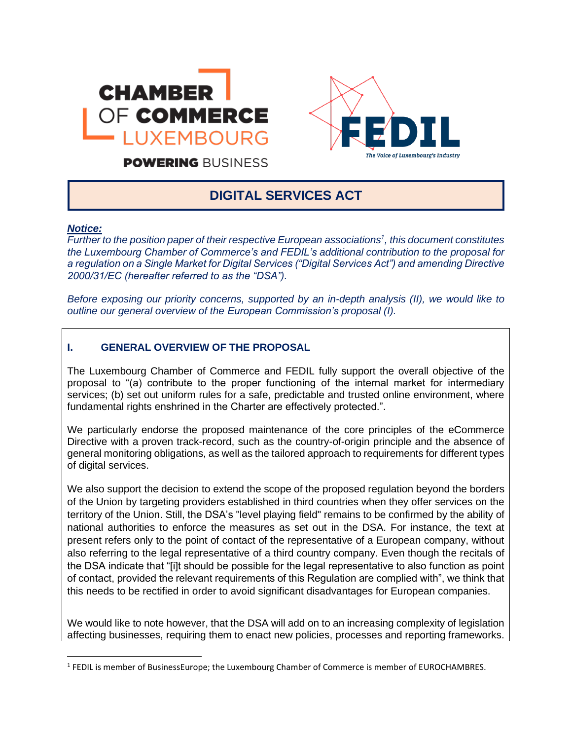



**POWERING BUSINESS** 

# **DIGITAL SERVICES ACT**

#### *Notice:*

*Further to the position paper of their respective European associations<sup>1</sup> , this document constitutes the Luxembourg Chamber of Commerce's and FEDIL's additional contribution to the proposal for a regulation on a Single Market for Digital Services ("Digital Services Act") and amending Directive 2000/31/EC (hereafter referred to as the "DSA").*

*Before exposing our priority concerns, supported by an in-depth analysis (II), we would like to outline our general overview of the European Commission's proposal (I).*

## **I. GENERAL OVERVIEW OF THE PROPOSAL**

The Luxembourg Chamber of Commerce and FEDIL fully support the overall objective of the proposal to "(a) contribute to the proper functioning of the internal market for intermediary services; (b) set out uniform rules for a safe, predictable and trusted online environment, where fundamental rights enshrined in the Charter are effectively protected.".

We particularly endorse the proposed maintenance of the core principles of the eCommerce Directive with a proven track-record, such as the country-of-origin principle and the absence of general monitoring obligations, as well as the tailored approach to requirements for different types of digital services.

We also support the decision to extend the scope of the proposed regulation beyond the borders of the Union by targeting providers established in third countries when they offer services on the territory of the Union. Still, the DSA's "level playing field" remains to be confirmed by the ability of national authorities to enforce the measures as set out in the DSA. For instance, the text at present refers only to the point of contact of the representative of a European company, without also referring to the legal representative of a third country company. Even though the recitals of the DSA indicate that "[i]t should be possible for the legal representative to also function as point of contact, provided the relevant requirements of this Regulation are complied with", we think that this needs to be rectified in order to avoid significant disadvantages for European companies.

We would like to note however, that the DSA will add on to an increasing complexity of legislation affecting businesses, requiring them to enact new policies, processes and reporting frameworks.

<sup>&</sup>lt;sup>1</sup> FEDIL is member of BusinessEurope; the Luxembourg Chamber of Commerce is member of EUROCHAMBRES.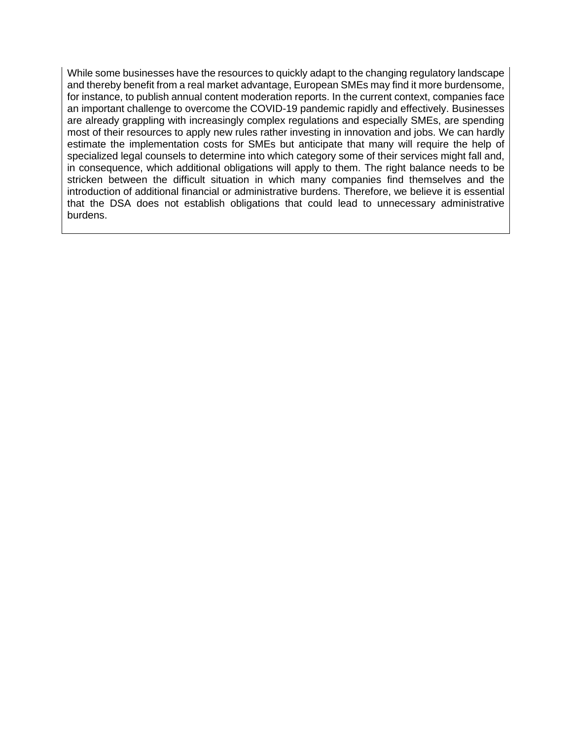While some businesses have the resources to quickly adapt to the changing regulatory landscape and thereby benefit from a real market advantage, European SMEs may find it more burdensome, for instance, to publish annual content moderation reports. In the current context, companies face an important challenge to overcome the COVID-19 pandemic rapidly and effectively. Businesses are already grappling with increasingly complex regulations and especially SMEs, are spending most of their resources to apply new rules rather investing in innovation and jobs. We can hardly estimate the implementation costs for SMEs but anticipate that many will require the help of specialized legal counsels to determine into which category some of their services might fall and, in consequence, which additional obligations will apply to them. The right balance needs to be stricken between the difficult situation in which many companies find themselves and the introduction of additional financial or administrative burdens. Therefore, we believe it is essential that the DSA does not establish obligations that could lead to unnecessary administrative burdens.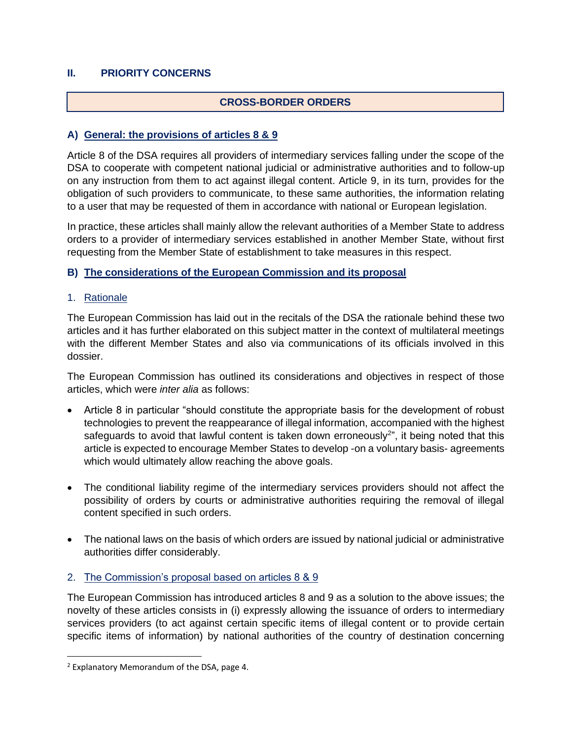## **II. PRIORITY CONCERNS**

### **CROSS-BORDER ORDERS**

#### **A) General: the provisions of articles 8 & 9**

Article 8 of the DSA requires all providers of intermediary services falling under the scope of the DSA to cooperate with competent national judicial or administrative authorities and to follow-up on any instruction from them to act against illegal content. Article 9, in its turn, provides for the obligation of such providers to communicate, to these same authorities, the information relating to a user that may be requested of them in accordance with national or European legislation.

In practice, these articles shall mainly allow the relevant authorities of a Member State to address orders to a provider of intermediary services established in another Member State, without first requesting from the Member State of establishment to take measures in this respect.

### **B) The considerations of the European Commission and its proposal**

1. Rationale

The European Commission has laid out in the recitals of the DSA the rationale behind these two articles and it has further elaborated on this subject matter in the context of multilateral meetings with the different Member States and also via communications of its officials involved in this dossier.

The European Commission has outlined its considerations and objectives in respect of those articles, which were *inter alia* as follows:

- Article 8 in particular "should constitute the appropriate basis for the development of robust technologies to prevent the reappearance of illegal information, accompanied with the highest safeguards to avoid that lawful content is taken down erroneously<sup>2</sup>", it being noted that this article is expected to encourage Member States to develop -on a voluntary basis- agreements which would ultimately allow reaching the above goals.
- The conditional liability regime of the intermediary services providers should not affect the possibility of orders by courts or administrative authorities requiring the removal of illegal content specified in such orders.
- The national laws on the basis of which orders are issued by national judicial or administrative authorities differ considerably.

#### 2. The Commission's proposal based on articles 8 & 9

The European Commission has introduced articles 8 and 9 as a solution to the above issues; the novelty of these articles consists in (i) expressly allowing the issuance of orders to intermediary services providers (to act against certain specific items of illegal content or to provide certain specific items of information) by national authorities of the country of destination concerning

<sup>2</sup> Explanatory Memorandum of the DSA, page 4.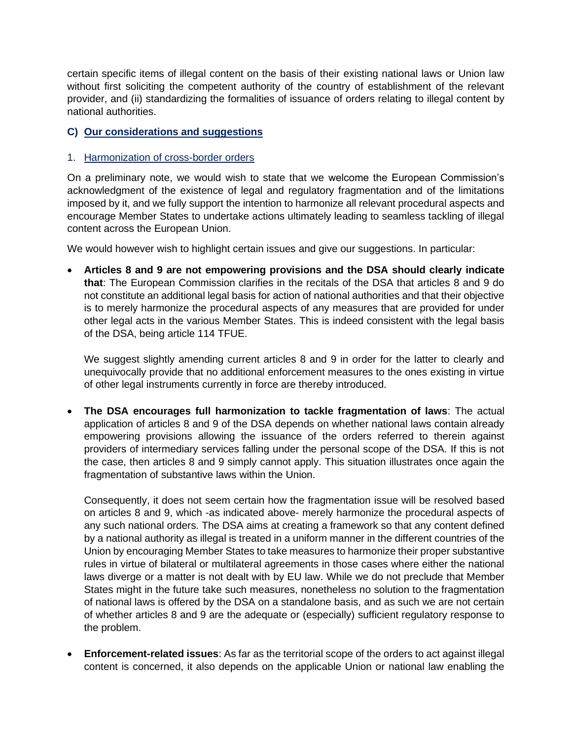certain specific items of illegal content on the basis of their existing national laws or Union law without first soliciting the competent authority of the country of establishment of the relevant provider, and (ii) standardizing the formalities of issuance of orders relating to illegal content by national authorities.

# **C) Our considerations and suggestions**

#### 1. Harmonization of cross-border orders

On a preliminary note, we would wish to state that we welcome the European Commission's acknowledgment of the existence of legal and regulatory fragmentation and of the limitations imposed by it, and we fully support the intention to harmonize all relevant procedural aspects and encourage Member States to undertake actions ultimately leading to seamless tackling of illegal content across the European Union.

We would however wish to highlight certain issues and give our suggestions. In particular:

• **Articles 8 and 9 are not empowering provisions and the DSA should clearly indicate that**: The European Commission clarifies in the recitals of the DSA that articles 8 and 9 do not constitute an additional legal basis for action of national authorities and that their objective is to merely harmonize the procedural aspects of any measures that are provided for under other legal acts in the various Member States. This is indeed consistent with the legal basis of the DSA, being article 114 TFUE.

We suggest slightly amending current articles 8 and 9 in order for the latter to clearly and unequivocally provide that no additional enforcement measures to the ones existing in virtue of other legal instruments currently in force are thereby introduced.

• **The DSA encourages full harmonization to tackle fragmentation of laws**: The actual application of articles 8 and 9 of the DSA depends on whether national laws contain already empowering provisions allowing the issuance of the orders referred to therein against providers of intermediary services falling under the personal scope of the DSA. If this is not the case, then articles 8 and 9 simply cannot apply. This situation illustrates once again the fragmentation of substantive laws within the Union.

Consequently, it does not seem certain how the fragmentation issue will be resolved based on articles 8 and 9, which -as indicated above- merely harmonize the procedural aspects of any such national orders. The DSA aims at creating a framework so that any content defined by a national authority as illegal is treated in a uniform manner in the different countries of the Union by encouraging Member States to take measures to harmonize their proper substantive rules in virtue of bilateral or multilateral agreements in those cases where either the national laws diverge or a matter is not dealt with by EU law. While we do not preclude that Member States might in the future take such measures, nonetheless no solution to the fragmentation of national laws is offered by the DSA on a standalone basis, and as such we are not certain of whether articles 8 and 9 are the adequate or (especially) sufficient regulatory response to the problem.

• **Enforcement-related issues**: As far as the territorial scope of the orders to act against illegal content is concerned, it also depends on the applicable Union or national law enabling the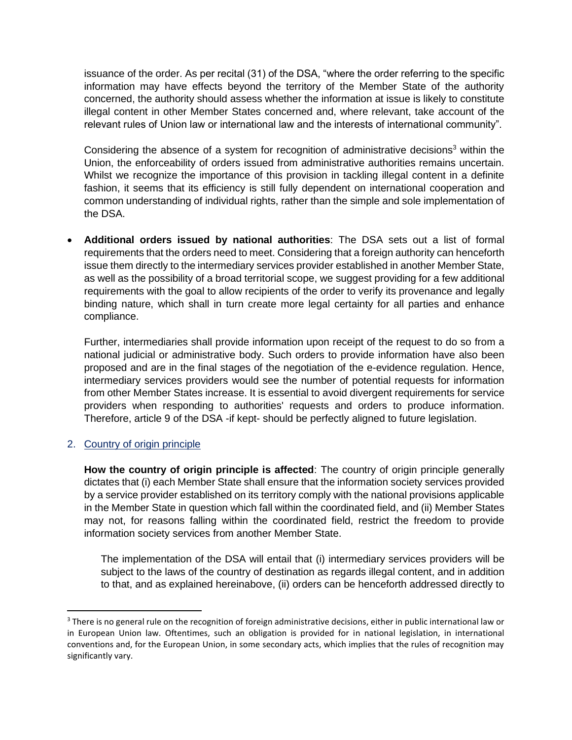issuance of the order. As per recital (31) of the DSA, "where the order referring to the specific information may have effects beyond the territory of the Member State of the authority concerned, the authority should assess whether the information at issue is likely to constitute illegal content in other Member States concerned and, where relevant, take account of the relevant rules of Union law or international law and the interests of international community".

Considering the absence of a system for recognition of administrative decisions<sup>3</sup> within the Union, the enforceability of orders issued from administrative authorities remains uncertain. Whilst we recognize the importance of this provision in tackling illegal content in a definite fashion, it seems that its efficiency is still fully dependent on international cooperation and common understanding of individual rights, rather than the simple and sole implementation of the DSA.

• **Additional orders issued by national authorities**: The DSA sets out a list of formal requirements that the orders need to meet. Considering that a foreign authority can henceforth issue them directly to the intermediary services provider established in another Member State, as well as the possibility of a broad territorial scope, we suggest providing for a few additional requirements with the goal to allow recipients of the order to verify its provenance and legally binding nature, which shall in turn create more legal certainty for all parties and enhance compliance.

Further, intermediaries shall provide information upon receipt of the request to do so from a national judicial or administrative body. Such orders to provide information have also been proposed and are in the final stages of the negotiation of the e-evidence regulation. Hence, intermediary services providers would see the number of potential requests for information from other Member States increase. It is essential to avoid divergent requirements for service providers when responding to authorities' requests and orders to produce information. Therefore, article 9 of the DSA -if kept- should be perfectly aligned to future legislation.

#### 2. Country of origin principle

**How the country of origin principle is affected**: The country of origin principle generally dictates that (i) each Member State shall ensure that the information society services provided by a service provider established on its territory comply with the national provisions applicable in the Member State in question which fall within the coordinated field, and (ii) Member States may not, for reasons falling within the coordinated field, restrict the freedom to provide information society services from another Member State.

The implementation of the DSA will entail that (i) intermediary services providers will be subject to the laws of the country of destination as regards illegal content, and in addition to that, and as explained hereinabove, (ii) orders can be henceforth addressed directly to

<sup>&</sup>lt;sup>3</sup> There is no general rule on the recognition of foreign administrative decisions, either in public international law or in European Union law. Oftentimes, such an obligation is provided for in national legislation, in international conventions and, for the European Union, in some secondary acts, which implies that the rules of recognition may significantly vary.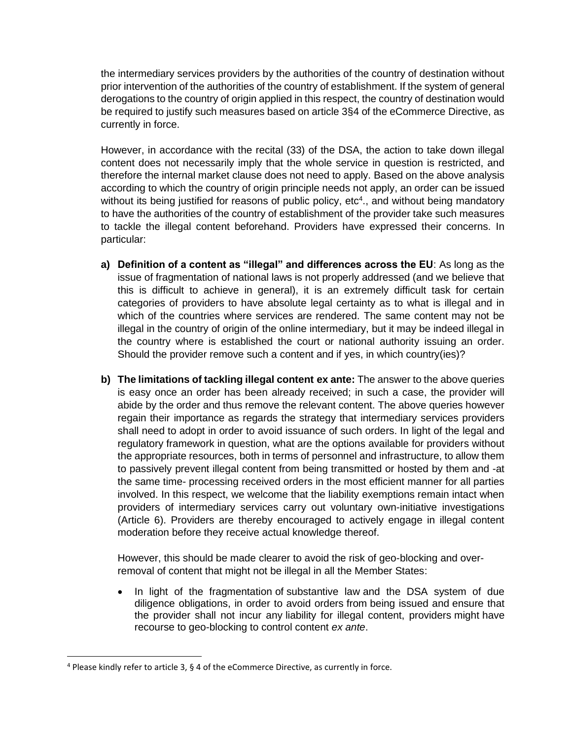the intermediary services providers by the authorities of the country of destination without prior intervention of the authorities of the country of establishment. If the system of general derogations to the country of origin applied in this respect, the country of destination would be required to justify such measures based on article 3§4 of the eCommerce Directive, as currently in force.

However, in accordance with the recital (33) of the DSA, the action to take down illegal content does not necessarily imply that the whole service in question is restricted, and therefore the internal market clause does not need to apply. Based on the above analysis according to which the country of origin principle needs not apply, an order can be issued without its being justified for reasons of public policy,  $etc<sup>4</sup>$ ., and without being mandatory to have the authorities of the country of establishment of the provider take such measures to tackle the illegal content beforehand. Providers have expressed their concerns. In particular:

- **a) Definition of a content as "illegal" and differences across the EU**: As long as the issue of fragmentation of national laws is not properly addressed (and we believe that this is difficult to achieve in general), it is an extremely difficult task for certain categories of providers to have absolute legal certainty as to what is illegal and in which of the countries where services are rendered. The same content may not be illegal in the country of origin of the online intermediary, but it may be indeed illegal in the country where is established the court or national authority issuing an order. Should the provider remove such a content and if yes, in which country(ies)?
- **b) The limitations of tackling illegal content ex ante:** The answer to the above queries is easy once an order has been already received; in such a case, the provider will abide by the order and thus remove the relevant content. The above queries however regain their importance as regards the strategy that intermediary services providers shall need to adopt in order to avoid issuance of such orders. In light of the legal and regulatory framework in question, what are the options available for providers without the appropriate resources, both in terms of personnel and infrastructure, to allow them to passively prevent illegal content from being transmitted or hosted by them and -at the same time- processing received orders in the most efficient manner for all parties involved. In this respect, we welcome that the liability exemptions remain intact when providers of intermediary services carry out voluntary own-initiative investigations (Article 6). Providers are thereby encouraged to actively engage in illegal content moderation before they receive actual knowledge thereof.

However, this should be made clearer to avoid the risk of geo-blocking and overremoval of content that might not be illegal in all the Member States:

• In light of the fragmentation of substantive law and the DSA system of due diligence obligations, in order to avoid orders from being issued and ensure that the provider shall not incur any liability for illegal content, providers might have recourse to geo-blocking to control content *ex ante*.

 $4$  Please kindly refer to article 3, § 4 of the eCommerce Directive, as currently in force.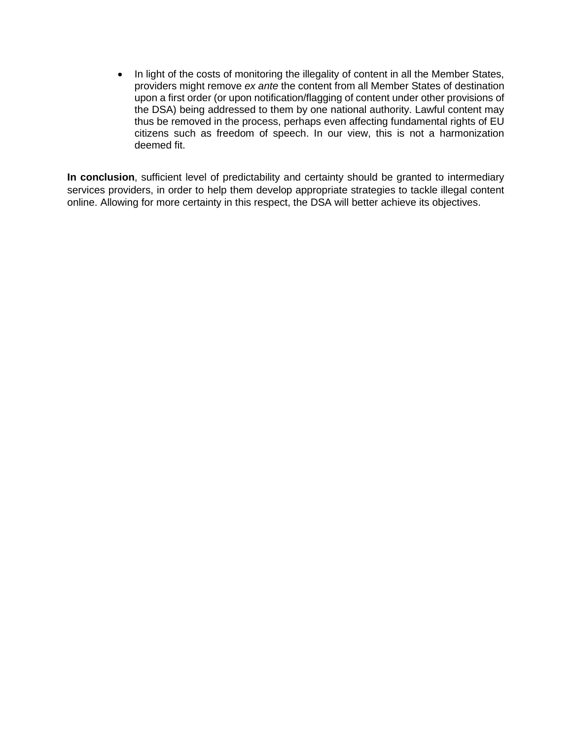• In light of the costs of monitoring the illegality of content in all the Member States, providers might remove *ex ante* the content from all Member States of destination upon a first order (or upon notification/flagging of content under other provisions of the DSA) being addressed to them by one national authority. Lawful content may thus be removed in the process, perhaps even affecting fundamental rights of EU citizens such as freedom of speech. In our view, this is not a harmonization deemed fit.

**In conclusion**, sufficient level of predictability and certainty should be granted to intermediary services providers, in order to help them develop appropriate strategies to tackle illegal content online. Allowing for more certainty in this respect, the DSA will better achieve its objectives.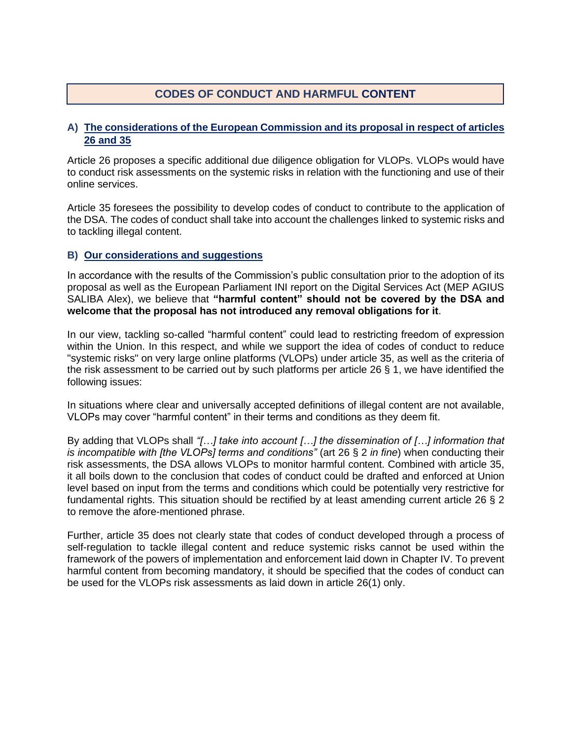# **CODES OF CONDUCT AND HARMFUL CONTENT**

#### **A) The considerations of the European Commission and its proposal in respect of articles 26 and 35**

Article 26 proposes a specific additional due diligence obligation for VLOPs. VLOPs would have to conduct risk assessments on the systemic risks in relation with the functioning and use of their online services.

Article 35 foresees the possibility to develop codes of conduct to contribute to the application of the DSA. The codes of conduct shall take into account the challenges linked to systemic risks and to tackling illegal content.

#### **B) Our considerations and suggestions**

In accordance with the results of the Commission's public consultation prior to the adoption of its proposal as well as the European Parliament INI report on the Digital Services Act (MEP AGIUS SALIBA Alex), we believe that **"harmful content" should not be covered by the DSA and welcome that the proposal has not introduced any removal obligations for it**.

In our view, tackling so-called "harmful content" could lead to restricting freedom of expression within the Union. In this respect, and while we support the idea of codes of conduct to reduce "systemic risks" on very large online platforms (VLOPs) under article 35, as well as the criteria of the risk assessment to be carried out by such platforms per article 26 § 1, we have identified the following issues:

In situations where clear and universally accepted definitions of illegal content are not available, VLOPs may cover "harmful content" in their terms and conditions as they deem fit.

By adding that VLOPs shall *"[…] take into account […] the dissemination of […] information that is incompatible with [the VLOPs] terms and conditions"* (art 26 § 2 *in fine*) when conducting their risk assessments, the DSA allows VLOPs to monitor harmful content. Combined with article 35, it all boils down to the conclusion that codes of conduct could be drafted and enforced at Union level based on input from the terms and conditions which could be potentially very restrictive for fundamental rights. This situation should be rectified by at least amending current article 26 § 2 to remove the afore-mentioned phrase.

Further, article 35 does not clearly state that codes of conduct developed through a process of self-regulation to tackle illegal content and reduce systemic risks cannot be used within the framework of the powers of implementation and enforcement laid down in Chapter IV. To prevent harmful content from becoming mandatory, it should be specified that the codes of conduct can be used for the VLOPs risk assessments as laid down in article 26(1) only.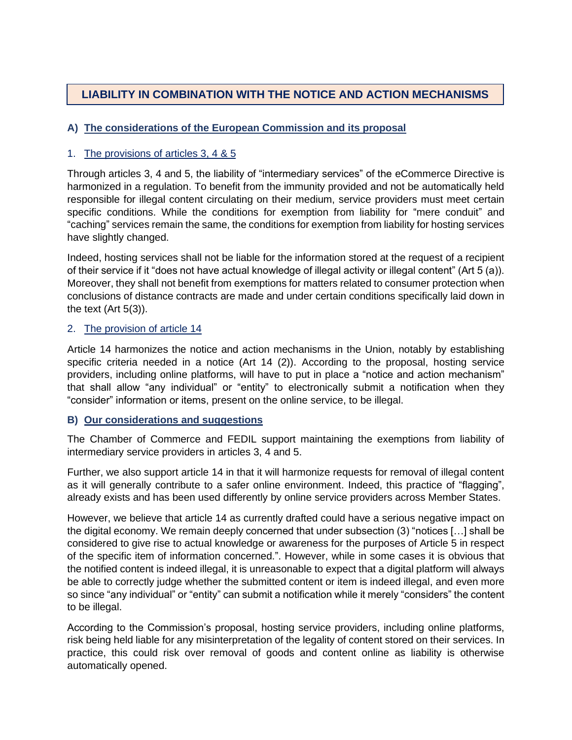# **LIABILITY IN COMBINATION WITH THE NOTICE AND ACTION MECHANISMS**

# **A) The considerations of the European Commission and its proposal**

## 1. The provisions of articles 3, 4 & 5

Through articles 3, 4 and 5, the liability of "intermediary services" of the eCommerce Directive is harmonized in a regulation. To benefit from the immunity provided and not be automatically held responsible for illegal content circulating on their medium, service providers must meet certain specific conditions. While the conditions for exemption from liability for "mere conduit" and "caching" services remain the same, the conditions for exemption from liability for hosting services have slightly changed.

Indeed, hosting services shall not be liable for the information stored at the request of a recipient of their service if it "does not have actual knowledge of illegal activity or illegal content" (Art 5 (a)). Moreover, they shall not benefit from exemptions for matters related to consumer protection when conclusions of distance contracts are made and under certain conditions specifically laid down in the text (Art 5(3)).

#### 2. The provision of article 14

Article 14 harmonizes the notice and action mechanisms in the Union, notably by establishing specific criteria needed in a notice (Art 14 (2)). According to the proposal, hosting service providers, including online platforms, will have to put in place a "notice and action mechanism" that shall allow "any individual" or "entity" to electronically submit a notification when they "consider" information or items, present on the online service, to be illegal.

#### **B) Our considerations and suggestions**

The Chamber of Commerce and FEDIL support maintaining the exemptions from liability of intermediary service providers in articles 3, 4 and 5.

Further, we also support article 14 in that it will harmonize requests for removal of illegal content as it will generally contribute to a safer online environment. Indeed, this practice of "flagging", already exists and has been used differently by online service providers across Member States.

However, we believe that article 14 as currently drafted could have a serious negative impact on the digital economy. We remain deeply concerned that under subsection (3) "notices […] shall be considered to give rise to actual knowledge or awareness for the purposes of Article 5 in respect of the specific item of information concerned.". However, while in some cases it is obvious that the notified content is indeed illegal, it is unreasonable to expect that a digital platform will always be able to correctly judge whether the submitted content or item is indeed illegal, and even more so since "any individual" or "entity" can submit a notification while it merely "considers" the content to be illegal.

According to the Commission's proposal, hosting service providers, including online platforms, risk being held liable for any misinterpretation of the legality of content stored on their services. In practice, this could risk over removal of goods and content online as liability is otherwise automatically opened.